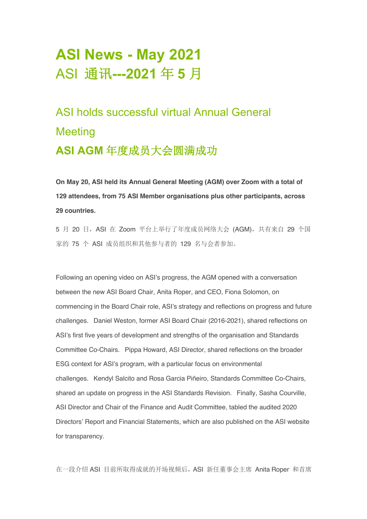# **ASI News - May 2021** ASI 通讯**---2021** 年 **5** 月

ASI holds successful virtual Annual General Meeting **ASI AGM** 年度成员大会圆满成功

**On May 20, ASI held its Annual General Meeting (AGM) over Zoom with a total of 129 attendees, from 75 ASI Member organisations plus other participants, across 29 countries.**

5 月 20 日, ASI 在 Zoom 平台上举行了年度成员网络大会 (AGM), 共有来自 29 个国 家的 75 个 ASI 成员组织和其他参与者的 129 名与会者参加。

Following an opening video on ASI's progress, the AGM opened with a conversation between the new ASI Board Chair, Anita Roper, and CEO, Fiona Solomon, on commencing in the Board Chair role, ASI's strategy and reflections on progress and future challenges. Daniel Weston, former ASI Board Chair (2016-2021), shared reflections on ASI's first five years of development and strengths of the organisation and Standards Committee Co-Chairs. Pippa Howard, ASI Director, shared reflections on the broader ESG context for ASI's program, with a particular focus on environmental challenges. Kendyl Salcito and Rosa Garcia Piñeiro, Standards Committee Co-Chairs, shared an update on progress in the ASI Standards Revision. Finally, Sasha Courville, ASI Director and Chair of the Finance and Audit Committee, tabled the audited 2020 Directors' Report and Financial Statements, which are also published on the ASI website for transparency.

在一段介绍 ASI 目前所取得成就的开场视频后,ASI 新任董事会主席 Anita Roper 和首席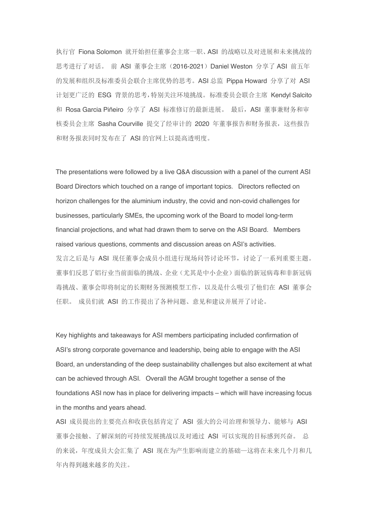执行官 Fiona Solomon 就开始担任董事会主席一职、ASI 的战略以及对进展和未来挑战的 思考讲行了对话。 前 ASI 董事会主席 (2016-2021) Daniel Weston 分享了 ASI 前五年 的发展和组织及标准委员会联合主席优势的思考。ASI 总监 Pippa Howard 分享了对 ASI 计划更广泛的 ESG 背景的思考,特别关注环境挑战。标准委员会联合主席 Kendyl Salcito 和 Rosa Garcia Piñeiro 分享了 ASI 标准修订的最新进展。最后, ASI 董事兼财务和审 核委员会主席 Sasha Courville 提交了经审计的 2020 年董事报告和财务报表, 这些报告 和财务报表同时发布在了 ASI 的官网上以提高透明度。

The presentations were followed by a live Q&A discussion with a panel of the current ASI Board Directors which touched on a range of important topics. Directors reflected on horizon challenges for the aluminium industry, the covid and non-covid challenges for businesses, particularly SMEs, the upcoming work of the Board to model long-term financial projections, and what had drawn them to serve on the ASI Board. Members raised various questions, comments and discussion areas on ASI's activities. 发言之后是与 ASI 现任董事会成员小组进行现场问答讨论环节, 讨论了一系列重要主题。 董事们反思了铝行业当前面临的挑战、企业(尤其是中小企业)面临的新冠病毒和非新冠病 毒挑战、董事会即将制定的长期财务预测模型工作,以及是什么吸引了他们在 ASI 董事会 任职。 成员们就 ASI 的工作提出了各种问题、意见和建议并展开了讨论。

Key highlights and takeaways for ASI members participating included confirmation of ASI's strong corporate governance and leadership, being able to engage with the ASI Board, an understanding of the deep sustainability challenges but also excitement at what can be achieved through ASI. Overall the AGM brought together a sense of the foundations ASI now has in place for delivering impacts – which will have increasing focus in the months and years ahead.

ASI 成员提出的主要亮点和收获包括肯定了 ASI 强大的公司治理和领导力、能够与 ASI 董事会接触、了解深刻的可持续发展挑战以及对通过 ASI 可以实现的目标感到兴奋。 总 的来说,年度成员大会汇集了 ASI 现在为产生影响而建立的基础—这将在未来几个月和几 年内得到越来越多的关注。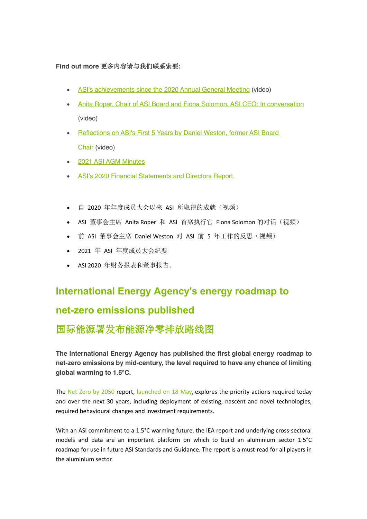#### **Find out more** 更多内容请与我们联系索要**:**

- ASI's achievements since the 2020 Annual General Meeting (video)
- Anita Roper, Chair of ASI Board and Fiona Solomon, ASI CEO: In conversation (video)
- Reflections on ASI's First 5 Years by Daniel Weston, former ASI Board Chair (video)
- 2021 ASI AGM Minutes
- ASI's 2020 Financial Statements and Directors Report.
- 自 2020 年年度成员大会以来 ASI 所取得的成就(视频)
- ASI 董事会主席 Anita Roper 和 ASI 首席执行官 Fiona Solomon 的对话(视频)
- 前 ASI 董事会主席 Daniel Weston 对 ASI 前 5 年工作的反思(视频)
- 2021 年 ASI 年度成员大会纪要
- ASI 2020 年财务报表和董事报告。

#### **International Energy Agency's energy roadmap to**

#### **net-zero emissions published**

## 国际能源署发布能源净零排放路线图

**The International Energy Agency has published the first global energy roadmap to net-zero emissions by mid-century, the level required to have any chance of limiting global warming to 1.5°C.**

The Net Zero by 2050 report, launched on 18 May, explores the priority actions required today and over the next 30 years, including deployment of existing, nascent and novel technologies, required behavioural changes and investment requirements.

With an ASI commitment to a 1.5°C warming future, the IEA report and underlying cross-sectoral models and data are an important platform on which to build an aluminium sector 1.5°C roadmap for use in future ASI Standards and Guidance. The report is a must-read for all players in the aluminium sector.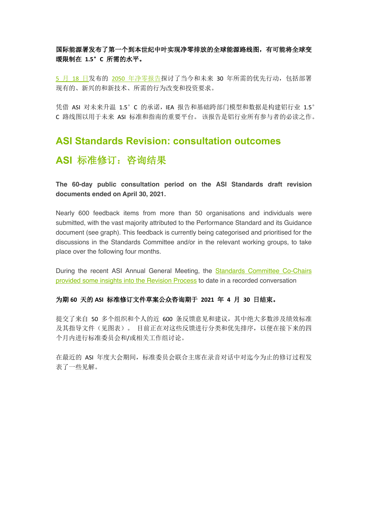#### 国际能源署发布了第一个到本世纪中叶实现净零排放的全球能源路线图,有可能将全球变 暖限制在 **1.5**°**C** 所需的水平。

5 月 18 日发布的 2050 年净零报告探讨了当今和未来 30 年所需的优先行动, 包括部署 现有的、新兴的和新技术、所需的行为改变和投资要求。

凭借 ASI 对未来升温 1.5°C 的承诺,IEA 报告和基础跨部门模型和数据是构建铝行业 1.5° C 路线图以用于未来 ASI 标准和指南的重要平台。 该报告是铝行业所有参与者的必读之作。

# **ASI Standards Revision: consultation outcomes** ASI 标准修订: 咨询结果

**The 60-day public consultation period on the ASI Standards draft revision documents ended on April 30, 2021.**

Nearly 600 feedback items from more than 50 organisations and individuals were submitted, with the vast majority attributed to the Performance Standard and its Guidance document (see graph). This feedback is currently being categorised and prioritised for the discussions in the Standards Committee and/or in the relevant working groups, to take place over the following four months.

During the recent ASI Annual General Meeting, the **Standards Committee Co-Chairs** provided some insights into the Revision Process to date in a recorded conversation

#### 为期 **60** 天的 **ASI** 标准修订文件草案公众咨询期于 **2021** 年 **4** 月 **30** 日结束。

提交了来自 50 多个组织和个人的近 600 条反馈意见和建议,其中绝大多数涉及绩效标准 及其指导文件(见图表)。 目前正在对这些反馈进行分类和优先排序,以便在接下来的四 个月内进行标准委员会和/或相关工作组讨论。

在最近的 ASI 年度大会期间,标准委员会联合主席在录音对话中对迄今为止的修订过程发 表了一些见解。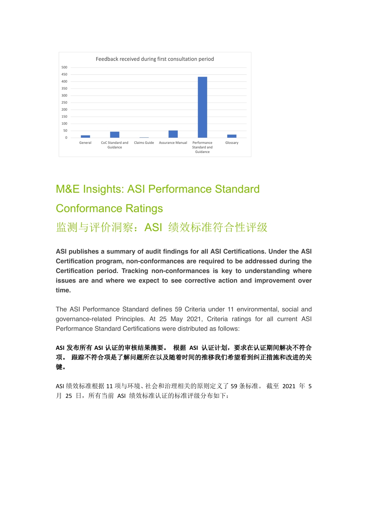

# M&E Insights: ASI Performance Standard Conformance Ratings

监测与评价洞察:ASI 绩效标准符合性评级

**ASI publishes a summary of audit findings for all ASI Certifications. Under the ASI Certification program, non-conformances are required to be addressed during the Certification period. Tracking non-conformances is key to understanding where issues are and where we expect to see corrective action and improvement over time.** 

The ASI Performance Standard defines 59 Criteria under 11 environmental, social and governance-related Principles. At 25 May 2021, Criteria ratings for all current ASI Performance Standard Certifications were distributed as follows:

#### **ASI** 发布所有 **ASI** 认证的审核结果摘要。 根据 **ASI** 认证计划,要求在认证期间解决不符合 项。 跟踪不符合项是了解问题所在以及随着时间的推移我们希望看到纠正措施和改进的关 键。

ASI 绩效标准根据 11 项与环境、社会和治理相关的原则定义了 59 条标准。 截至 2021 年 5 月 25 日, 所有当前 ASI 绩效标准认证的标准评级分布如下: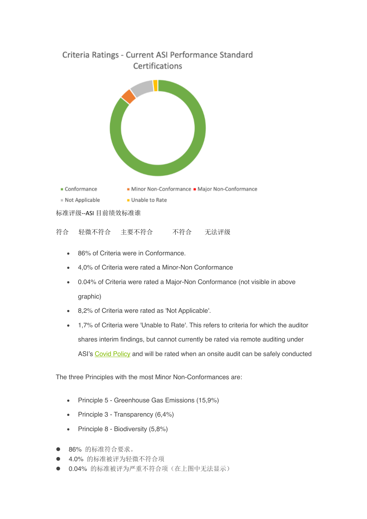# Criteria Ratings - Current ASI Performance Standard Certifications



标准评级--ASI 目前绩效标准谁

| 符合 | 轻微不符合 | 主要不符合 | 不符合 | 无法评级 |
|----|-------|-------|-----|------|
|    |       |       |     |      |

- 86% of Criteria were in Conformance.
- 4,0% of Criteria were rated a Minor-Non Conformance
- 0.04% of Criteria were rated a Major-Non Conformance (not visible in above graphic)
- 8,2% of Criteria were rated as 'Not Applicable'.
- 1,7% of Criteria were 'Unable to Rate'. This refers to criteria for which the auditor shares interim findings, but cannot currently be rated via remote auditing under ASI's Covid Policy and will be rated when an onsite audit can be safely conducted

The three Principles with the most Minor Non-Conformances are:

- Principle 5 Greenhouse Gas Emissions (15,9%)
- Principle 3 Transparency (6,4%)
- Principle 8 Biodiversity (5,8%)
- l 86% 的标准符合要求。
- 4.0% 的标准被评为轻微不符合项
- l 0.04% 的标准被评为严重不符合项(在上图中无法显示)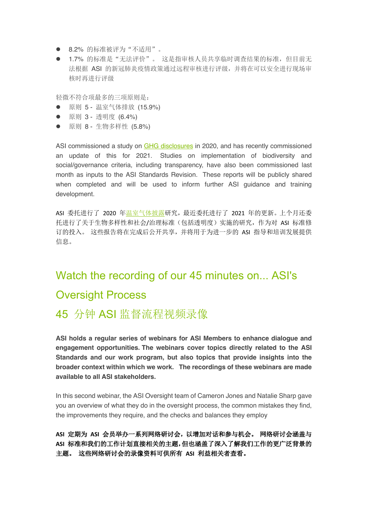- 8.2% 的标准被评为"不适用"。
- 1.7% 的标准是"无法评价"。这是指审核人员共享临时调查结果的标准,但目前无 法根据 ASI 的新冠肺炎疫情政策通过远程审核进行评级,并将在可以安全进行现场审 核时再进行评级

轻微不符合项最多的三项原则是:

- 原则 5 温室气体排放 (15.9%)
- 原则 3 透明度 (6.4%)
- 原则 8 生物多样性 (5.8%)

ASI commissioned a study on GHG disclosures in 2020, and has recently commissioned an update of this for 2021. Studies on implementation of biodiversity and social/governance criteria, including transparency, have also been commissioned last month as inputs to the ASI Standards Revision. These reports will be publicly shared when completed and will be used to inform further ASI guidance and training development.

ASI 委托进行了 2020 年温室气体披露研究,最近委托进行了 2021 年的更新。上个月还委 托进行了关于生物多样性和社会/治理标准(包括透明度)实施的研究,作为对 ASI 标准修 订的投入。 这些报告将在完成后公开共享,并将用于为进一步的 ASI 指导和培训发展提供 信息。

# Watch the recording of our 45 minutes on... ASI's Oversight Process

# 45 分钟 ASI 监督流程视频录像

**ASI holds a regular series of webinars for ASI Members to enhance dialogue and engagement opportunities. The webinars cover topics directly related to the ASI Standards and our work program, but also topics that provide insights into the broader context within which we work. The recordings of these webinars are made available to all ASI stakeholders.**

In this second webinar, the ASI Oversight team of Cameron Jones and Natalie Sharp gave you an overview of what they do in the oversight process, the common mistakes they find, the improvements they require, and the checks and balances they employ

**ASI** 定期为 **ASI** 会员举办一系列网络研讨会,以增加对话和参与机会。 网络研讨会涵盖与 **ASI** 标准和我们的工作计划直接相关的主题,但也涵盖了深入了解我们工作的更广泛背景的 主题。 这些网络研讨会的录像资料可供所有 **ASI** 利益相关者查看。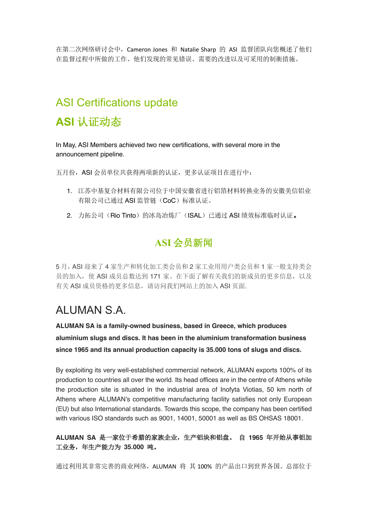在第二次网络研讨会中,Cameron Jones 和 Natalie Sharp 的 ASI 监督团队向您概述了他们 在监督过程中所做的工作、他们发现的常见错误、需要的改进以及可采用的制衡措施。

# ASI Certifications update

# **ASI** 认证动态

In May, ASI Members achieved two new certifications, with several more in the announcement pipeline.

五月份, ASI 会员单位共获得两项新的认证,更多认证项目在进行中:

- 1. 江苏中基复合材料有限公司位于中国安徽省进行铝箔材料转换业务的安徽美信铝业 有限公司已通过 ASI 监管链(CoC)标准认证。
- 2. 力拓公司(Rio Tinto)的冰岛冶炼厂(ISAL)已通过 ASI 绩效标准临时认证。

## **ASI** 会员新闻

5 月,ASI 迎来了 4 家生产和转化加工类会员和 2 家工业用用户类会员和 1 家一般支持类会 员的加入, 使 ASI 成员总数达到 171 家。在下面了解有关我们的新成员的更多信息, 以及 有关 ASI 成员资格的更多信息,请访问我们网站上的加入 ASI 页面.

# ALUMAN S.A.

**ALUMAN SA is a family-owned business, based in Greece, which produces aluminium slugs and discs. It has been in the aluminium transformation business since 1965 and its annual production capacity is 35.000 tons of slugs and discs.**

By exploiting its very well-established commercial network, ALUMAN exports 100% of its production to countries all over the world. Its head offices are in the centre of Athens while the production site is situated in the industrial area of Inofyta Viotias, 50 km north of Athens where ALUMAN's competitive manufacturing facility satisfies not only European (EU) but also International standards. Towards this scope, the company has been certified with various ISO standards such as 9001, 14001, 50001 as well as BS OHSAS 18001.

#### **ALUMAN SA** 是一家位于希腊的家族企业,生产铝块和铝盘。 自 **1965** 年开始从事铝加 工业务,年生产能力为 **35.000** 吨。

通过利用其非常完善的商业网络, ALUMAN 将 其 100% 的产品出口到世界各国。总部位于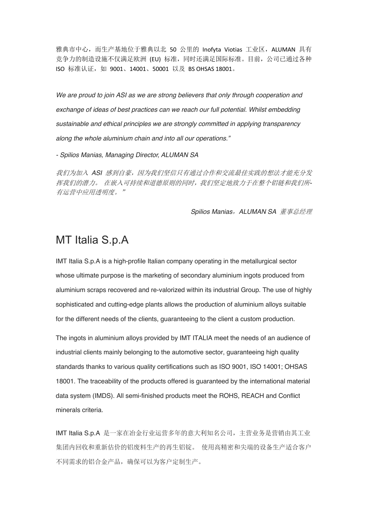雅典市中心, 而生产基地位于雅典以北 50 公里的 Inofyta Viotias 工业区, ALUMAN 具有 竞争力的制造设施不仅满足欧洲 (EU) 标准,同时还满足国际标准。目前,公司已通过各种 ISO 标准认证, 如 9001、14001、50001 以及 BS OHSAS 18001。

*We are proud to join ASI as we are strong believers that only through cooperation and exchange of ideas of best practices can we reach our full potential. Whilst embedding sustainable and ethical principles we are strongly committed in applying transparency along the whole aluminium chain and into all our operations."* 

*- Spilios Manias, Managing Director, ALUMAN SA*

我们为加入 *ASI* 感到自豪,因为我们坚信只有通过合作和交流最佳实践的想法才能充分发 挥我们的潜力。 在嵌入可持续和道德原则的同时,我们坚定地致力于在整个铝链和我们所*-*有运营中应用透明度。"

*Spilios Manias*,*ALUMAN SA* 董事总经理

## MT Italia S.p.A

IMT Italia S.p.A is a high-profile Italian company operating in the metallurgical sector whose ultimate purpose is the marketing of secondary aluminium ingots produced from aluminium scraps recovered and re-valorized within its industrial Group. The use of highly sophisticated and cutting-edge plants allows the production of aluminium alloys suitable for the different needs of the clients, guaranteeing to the client a custom production.

The ingots in aluminium alloys provided by IMT ITALIA meet the needs of an audience of industrial clients mainly belonging to the automotive sector, guaranteeing high quality standards thanks to various quality certifications such as ISO 9001, ISO 14001; OHSAS 18001. The traceability of the products offered is guaranteed by the international material data system (IMDS). All semi-finished products meet the ROHS, REACH and Conflict minerals criteria.

IMT Italia S.p.A 是一家在冶金行业运营多年的意大利知名公司,主营业务是营销由其工业 集团内回收和重新估价的铝废料生产的再生铝锭。 使用高精密和尖端的设备生产适合客户 不同需求的铝合金产品,确保可以为客户定制生产。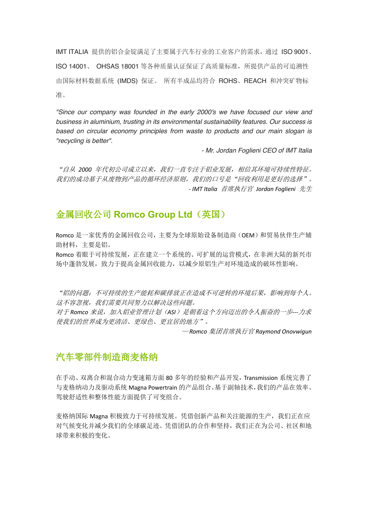IMT ITALIA 提供的铝合金锭满足了主要属于汽车行业的工业客户的需求,通过 ISO 9001、 ISO 14001、 OHSAS 18001 等各种质量认证保证了高质量标准,所提供产品的可追溯性 由国际材料数据系统 (IMDS) 保证。 所有半成品均符合 ROHS、REACH 和冲突矿物标 准。

*"Since our company was founded in the early 2000's we have focused our view and business in aluminium, trusting in its environmental sustainability features. Our success is based on circular economy principles from waste to products and our main slogan is "recycling is better".*

*- Mr. Jordan Foglieni CEO of IMT Italia*

"自从 *2000* 年代初公司成立以来,我们一直专注于铝业发展,相信其环境可持续性特征。 我们的成功基于从废物到产品的循环经济原则,我们的口号是"回收利用是更好的选择"。 *- IMT Italia* 首席执行官 *Jordan Foglieni* 先生

#### 金属回收公司 **Romco Group Ltd**(英国)

Romco 是一家优秀的金属回收公司,主要为全球原始设备制造商(OEM)和贸易伙伴生产辅 助材料,主要是铝。

Romco 着眼于可持续发展,正在建立一个系统的、可扩展的运营模式,在非洲大陆的新兴市 场中蓬勃发展,致力于提高金属回收能力,以减少原铝生产对环境造成的破坏性影响。

"铝的问题:不可持续的生产能耗和碳排放正在造成不可逆转的环境后果,影响到每个人。 这不容忽视,我们需要共同努力以解决这些问题。

对于 *Romco* 来说,加入铝业管理计划(*ASI*)是朝着这个方向迈出的令人振奋的一步*---*力求 使我们的世界成为更清洁、更绿色、更宜居的地方"。

— *Romco* 集团首席执行官 *Raymond Onovwigun*

#### 汽车零部件制造商麦格纳

在手动、双离合和混合动力变速箱方面 80 多年的经验和产品开发,Transmission 系统完善了 与麦格纳动力及驱动系统 Magna Powertrain 的产品组合。基于副轴技术,我们的产品在效率、 驾驶舒适性和整体性能方面提供了可变组合。

麦格纳国际 Magna 积极致力于可持续发展。凭借创新产品和关注能源的生产,我们正在应 对气候变化并减少我们的全球碳足迹。凭借团队的合作和坚持,我们正在为公司、社区和地 球带来积极的变化。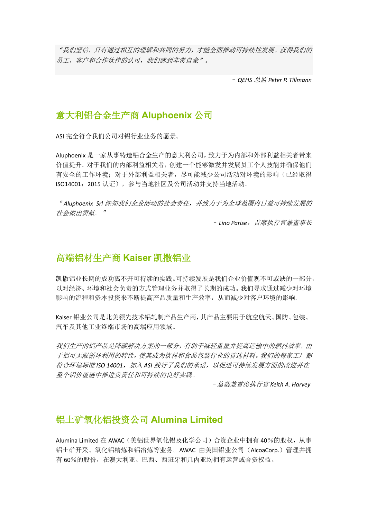"我们坚信,只有通过相互的理解和共同的努力,才能全面推动可持续性发展。获得我们的 员工、客户和合作伙伴的认可,我们感到非常自豪"。

– *QEHS* 总监 *Peter P. Tillmann*

#### 意大利铝合金生产商 **Aluphoenix** 公司

ASI 完全符合我们公司对铝行业业务的愿景。

Aluphoenix 是一家从事铸造铝合金生产的意大利公司,致力于为内部和外部利益相关者带来 价值提升。对于我们的内部利益相关者,创建一个能够激发并发展员工个人技能并确保他们 有安全的工作环境;对于外部利益相关者,尽可能减少公司活动对环境的影响(已经取得 ISO14001: 2015 认证), 参与当地社区及公司活动并支持当地活动。

" *Aluphoenix Srl* 深知我们企业活动的社会责任,并致力于为全球范围内日益可持续发展的 社会做出贡献。"

– *Lino Parise*,首席执行官兼董事长

#### 高端铝材生产商 **Kaiser** 凯撒铝业

凯撒铝业长期的成功离不开可持续的实践。可持续发展是我们企业价值观不可或缺的一部分, 以对经济、环境和社会负责的方式管理业务并取得了长期的成功。我们寻求通过减少对环境 影响的流程和资本投资来不断提高产品质量和生产效率,从而减少对客户环境的影响.

Kaiser 铝业公司是北美领先技术铝轧制产品生产商,其产品主要用于航空航天、国防、包装、 汽车及其他工业终端市场的高端应用领域。

我们生产的铝产品是降碳解决方案的一部分,有助于减轻重量并提高运输中的燃料效率,由 于铝可无限循环利用的特性,使其成为饮料和食品包装行业的首选材料。我们的每家工厂都 符合环境标准 *ISO 14001*,加入 *ASI* 践行了我们的承诺,以促进可持续发展方面的改进并在 整个铝价值链中推进负责任和可持续的良好实践。

–总裁兼首席执行官 *Keith A. Harvey*

#### 铝土矿氧化铝投资公司 **Alumina Limited**

Alumina Limited 在 AWAC(美铝世界氧化铝及化学公司)合资企业中拥有 40%的股权,从事 铝土矿开采、氧化铝精炼和铝冶炼等业务。AWAC 由美国铝业公司(AlcoaCorp.)管理并拥 有 60%的股份,在澳大利亚、巴西、西班牙和几内亚均拥有运营或合资权益。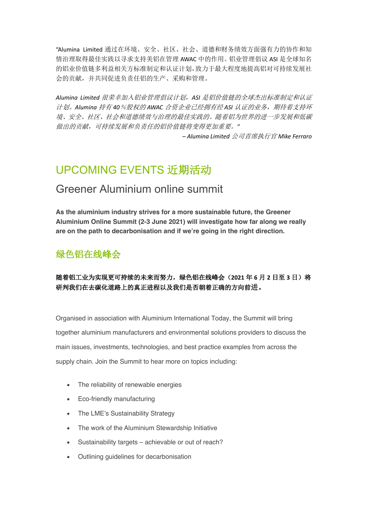"Alumina Limited 通过在环境、安全、社区、社会、道德和财务绩效方面强有力的协作和知 情治理取得最佳实践以寻求支持美铝在管理 AWAC 中的作用。铝业管理倡议 ASI 是全球知名 的铝业价值链多利益相关方标准制定和认证计划,致力于最大程度地提高铝对可持续发展社 会的贡献,并共同促进负责任铝的生产、采购和管理。

*Alumina Limited* 很荣幸加入铝业管理倡议计划,*ASI* 是铝价值链的全球杰出标准制定和认证 计划。*Alumina* 持有 *40*%股权的 *AWAC* 合资企业已经拥有经 *ASI* 认证的业务,期待着支持环 境、安全、社区、社会和道德绩效与治理的最佳实践的。随着铝为世界的进一步发展和低碳 做出的贡献,可持续发展和负责任的铝价值链将变得更加重要。*"*

*– Alumina Limited* 公司首席执行官 *Mike Ferraro*

# UPCOMING EVENTS 近期活动

## Greener Aluminium online summit

**As the aluminium industry strives for a more sustainable future, the Greener Aluminium Online Summit (2-3 June 2021) will investigate how far along we really are on the path to decarbonisation and if we're going in the right direction.** 

### 绿色铝在线峰会

#### 随着铝工业为实现更可持续的未来而努力,绿色铝在线峰会(**2021** 年 **6** 月 **2** 日至 **3** 日)将 研判我们在去碳化道路上的真正进程以及我们是否朝着正确的方向前进。

Organised in association with Aluminium International Today, the Summit will bring together aluminium manufacturers and environmental solutions providers to discuss the main issues, investments, technologies, and best practice examples from across the supply chain. Join the Summit to hear more on topics including:

- The reliability of renewable energies
- Eco-friendly manufacturing
- The LME's Sustainability Strategy
- The work of the Aluminium Stewardship Initiative
- Sustainability targets achievable or out of reach?
- Outlining guidelines for decarbonisation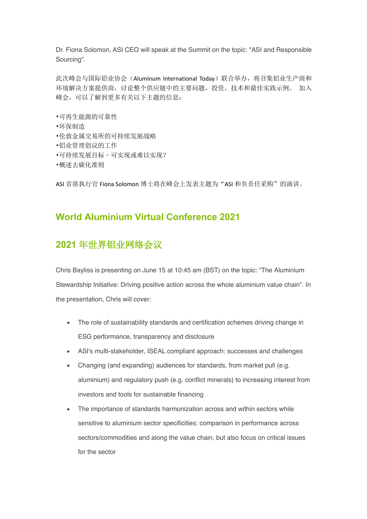Dr. Fiona Solomon, ASI CEO will speak at the Summit on the topic: "ASI and Responsible Sourcing".

此次峰会与国际铝业协会(Aluminum International Today)联合举办,将召集铝业生产商和 环境解决方案提供商,讨论整个供应链中的主要问题,投资、技术和最佳实践示例。 加入 峰会,可以了解到更多有关以下主题的信息:

- •可再生能源的可靠性
- •环保制造
- •伦敦金属交易所的可持续发展战略
- •铝业管理倡议的工作
- •可持续发展目标–可实现或难以实现?
- •概述去碳化准则

ASI 首席执行官 Fiona Solomon 博士将在峰会上发表主题为"ASI 和负责任采购"的演讲。

#### **World Aluminium Virtual Conference 2021**

#### **2021** 年世界铝业网络会议

Chris Bayliss is presenting on June 15 at 10:45 am (BST) on the topic: "The Aluminium Stewardship Initiative: Driving positive action across the whole aluminium value chain". In the presentation, Chris will cover:

- The role of sustainability standards and certification schemes driving change in ESG performance, transparency and disclosure
- ASI's multi-stakeholder, ISEAL compliant approach: successes and challenges
- Changing (and expanding) audiences for standards, from market pull (e.g. aluminium) and regulatory push (e.g. conflict minerals) to increasing interest from investors and tools for sustainable financing
- The importance of standards harmonization across and within sectors while sensitive to aluminium sector specificities: comparison in performance across sectors/commodities and along the value chain, but also focus on critical issues for the sector